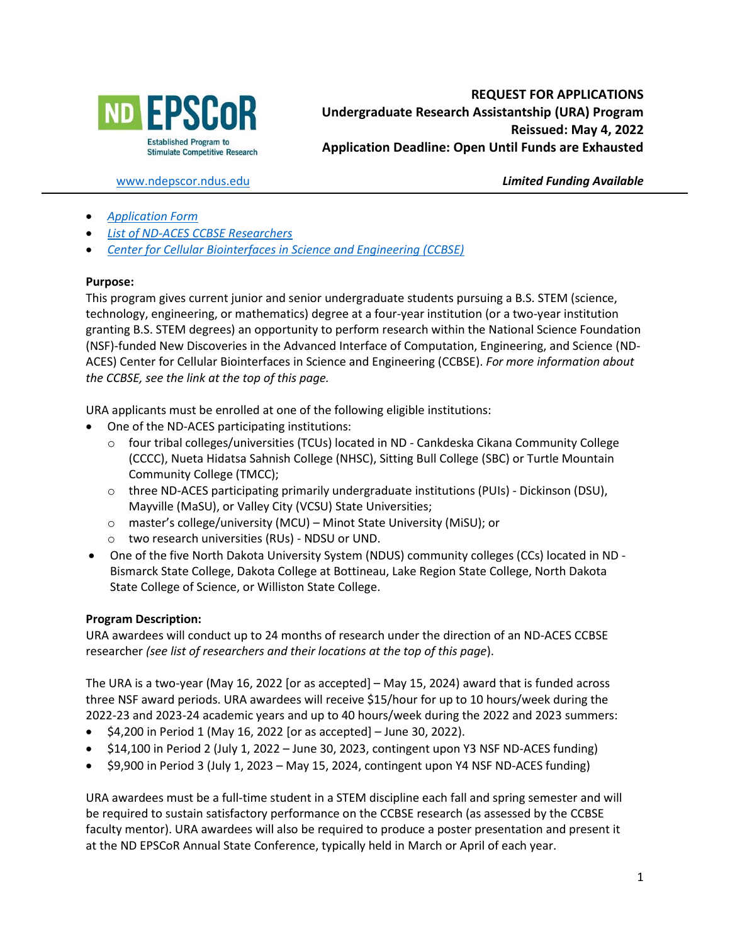

[www.ndepscor.ndus.edu](http://www.ndepscor.ndus.edu/) *Limited Funding Available*

- *[Application Form](https://www.ndepscor.ndus.edu/fileadmin/ndus/ndepscor/Undergraduate_Research_Assistantship/URA22applform.pdf)*
- *[List of ND-ACES CCBSE Researchers](https://www.ndepscor.ndus.edu/fileadmin/ndus/ndepscor/REU/2021REUResearcherListFINAL.pdf)*
- *[Center for Cellular Biointerfaces in Science and Engineering \(CCBSE\)](https://bit.ly/CCBSE)*

#### **Purpose:**

This program gives current junior and senior undergraduate students pursuing a B.S. STEM (science, technology, engineering, or mathematics) degree at a four-year institution (or a two-year institution granting B.S. STEM degrees) an opportunity to perform research within the National Science Foundation (NSF)-funded New Discoveries in the Advanced Interface of Computation, Engineering, and Science (ND-ACES) Center for Cellular Biointerfaces in Science and Engineering (CCBSE). *For more information about the CCBSE, see the link at the top of this page.*

URA applicants must be enrolled at one of the following eligible institutions:

- One of the ND-ACES participating institutions:
	- o four tribal colleges/universities (TCUs) located in ND Cankdeska Cikana Community College (CCCC), Nueta Hidatsa Sahnish College (NHSC), Sitting Bull College (SBC) or Turtle Mountain Community College (TMCC);
	- o three ND-ACES participating primarily undergraduate institutions (PUIs) Dickinson (DSU), Mayville (MaSU), or Valley City (VCSU) State Universities;
	- o master's college/university (MCU) Minot State University (MiSU); or
	- o two research universities (RUs) NDSU or UND.
- One of the five North Dakota University System (NDUS) community colleges (CCs) located in ND Bismarck State College, Dakota College at Bottineau, Lake Region State College, North Dakota State College of Science, or Williston State College.

#### **Program Description:**

URA awardees will conduct up to 24 months of research under the direction of an ND-ACES CCBSE researcher *(see list of researchers and their locations at the top of this page*).

The URA is a two-year (May 16, 2022 [or as accepted] – May 15, 2024) award that is funded across three NSF award periods. URA awardees will receive \$15/hour for up to 10 hours/week during the 2022-23 and 2023-24 academic years and up to 40 hours/week during the 2022 and 2023 summers:

- $$4,200$  in Period 1 (May 16, 2022 [or as accepted] June 30, 2022).
- \$14,100 in Period 2 (July 1, 2022 June 30, 2023, contingent upon Y3 NSF ND-ACES funding)
- \$9,900 in Period 3 (July 1, 2023 May 15, 2024, contingent upon Y4 NSF ND-ACES funding)

URA awardees must be a full-time student in a STEM discipline each fall and spring semester and will be required to sustain satisfactory performance on the CCBSE research (as assessed by the CCBSE faculty mentor). URA awardees will also be required to produce a poster presentation and present it at the ND EPSCoR Annual State Conference, typically held in March or April of each year.